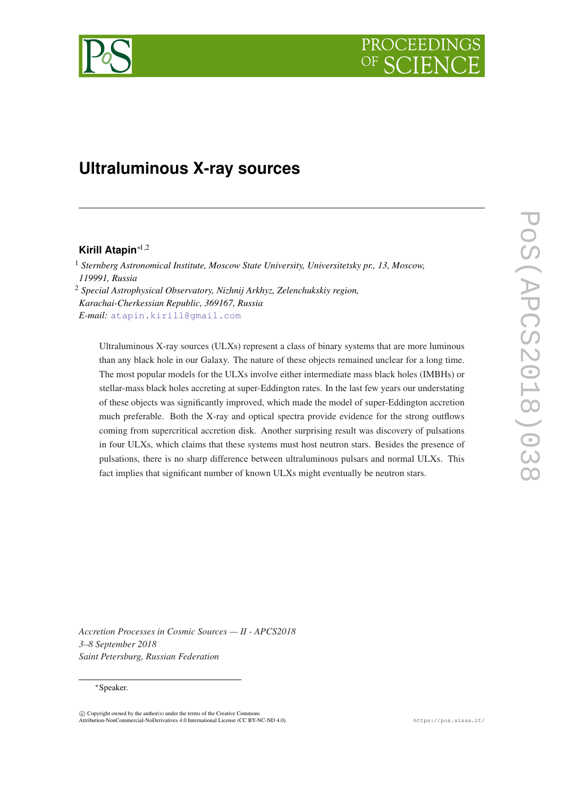# PROCEEDIN

## **Ultraluminous X-ray sources**

### **Kirill Atapin**∗1,<sup>2</sup>

<sup>1</sup> *Sternberg Astronomical Institute, Moscow State University, Universitetsky pr., 13, Moscow, 119991, Russia*

<sup>2</sup> *Special Astrophysical Observatory, Nizhnij Arkhyz, Zelenchukskiy region, Karachai-Cherkessian Republic, 369167, Russia E-mail:* [atapin.kirill@gmail.com](mailto:atapin.kirill@gmail.com)

Ultraluminous X-ray sources (ULXs) represent a class of binary systems that are more luminous than any black hole in our Galaxy. The nature of these objects remained unclear for a long time. The most popular models for the ULXs involve either intermediate mass black holes (IMBHs) or stellar-mass black holes accreting at super-Eddington rates. In the last few years our understating of these objects was significantly improved, which made the model of super-Eddington accretion much preferable. Both the X-ray and optical spectra provide evidence for the strong outflows coming from supercritical accretion disk. Another surprising result was discovery of pulsations in four ULXs, which claims that these systems must host neutron stars. Besides the presence of pulsations, there is no sharp difference between ultraluminous pulsars and normal ULXs. This fact implies that significant number of known ULXs might eventually be neutron stars.

*Accretion Processes in Cosmic Sources — II - APCS2018 3–8 September 2018 Saint Petersburg, Russian Federation*

#### <sup>∗</sup>Speaker.

 $\overline{c}$  Copyright owned by the author(s) under the terms of the Creative Common Attribution-NonCommercial-NoDerivatives 4.0 International License (CC BY-NC-ND 4.0). https://pos.sissa.it/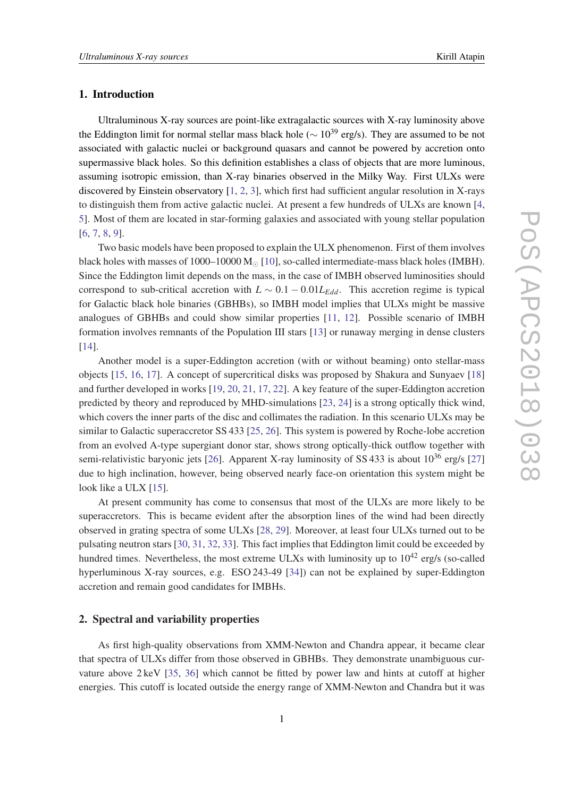#### 1. Introduction

Ultraluminous X-ray sources are point-like extragalactic sources with X-ray luminosity above the Eddington limit for normal stellar mass black hole ( $\sim 10^{39}$  erg/s). They are assumed to be not associated with galactic nuclei or background quasars and cannot be powered by accretion onto supermassive black holes. So this definition establishes a class of objects that are more luminous, assuming isotropic emission, than X-ray binaries observed in the Milky Way. First ULXs were discovered by Einstein observatory [[1](#page-5-0), [2,](#page-5-0) [3\]](#page-5-0), which first had sufficient angular resolution in X-rays to distinguish them from active galactic nuclei. At present a few hundreds of ULXs are known [[4](#page-5-0), [5\]](#page-5-0). Most of them are located in star-forming galaxies and associated with young stellar population [[6](#page-5-0), [7](#page-5-0), [8](#page-5-0), [9](#page-5-0)].

Two basic models have been proposed to explain the ULX phenomenon. First of them involves black holes with masses of  $1000-10000$   $M<sub>o</sub>$  [\[10](#page-5-0)], so-called intermediate-mass black holes (IMBH). Since the Eddington limit depends on the mass, in the case of IMBH observed luminosities should correspond to sub-critical accretion with  $L \sim 0.1 - 0.01L_{Edd}$ . This accretion regime is typical for Galactic black hole binaries (GBHBs), so IMBH model implies that ULXs might be massive analogues of GBHBs and could show similar properties [\[11](#page-5-0), [12](#page-5-0)]. Possible scenario of IMBH formation involves remnants of the Population III stars [\[13](#page-6-0)] or runaway merging in dense clusters [[14\]](#page-6-0).

Another model is a super-Eddington accretion (with or without beaming) onto stellar-mass objects [[15,](#page-6-0) [16,](#page-6-0) [17](#page-6-0)]. A concept of supercritical disks was proposed by Shakura and Sunyaev [\[18](#page-6-0)] and further developed in works [[19,](#page-6-0) [20,](#page-6-0) [21](#page-6-0), [17](#page-6-0), [22](#page-6-0)]. A key feature of the super-Eddington accretion predicted by theory and reproduced by MHD-simulations [[23,](#page-6-0) [24\]](#page-6-0) is a strong optically thick wind, which covers the inner parts of the disc and collimates the radiation. In this scenario ULXs may be similar to Galactic superaccretor SS 433 [\[25](#page-6-0), [26](#page-6-0)]. This system is powered by Roche-lobe accretion from an evolved A-type supergiant donor star, shows strong optically-thick outflow together with semi-relativistic baryonic jets [[26\]](#page-6-0). Apparent X-ray luminosity of SS 433 is about  $10^{36}$  erg/s [\[27](#page-6-0)] due to high inclination, however, being observed nearly face-on orientation this system might be look like a ULX [[15\]](#page-6-0).

At present community has come to consensus that most of the ULXs are more likely to be superaccretors. This is became evident after the absorption lines of the wind had been directly observed in grating spectra of some ULXs [[28](#page-6-0), [29\]](#page-6-0). Moreover, at least four ULXs turned out to be pulsating neutron stars [\[30](#page-6-0), [31,](#page-7-0) [32,](#page-7-0) [33\]](#page-7-0). This fact implies that Eddington limit could be exceeded by hundred times. Nevertheless, the most extreme ULXs with luminosity up to  $10^{42}$  erg/s (so-called hyperluminous X-ray sources, e.g. ESO 243-49 [\[34](#page-7-0)]) can not be explained by super-Eddington accretion and remain good candidates for IMBHs.

#### 2. Spectral and variability properties

As first high-quality observations from XMM-Newton and Chandra appear, it became clear that spectra of ULXs differ from those observed in GBHBs. They demonstrate unambiguous curvature above 2 keV [\[35](#page-7-0), [36](#page-7-0)] which cannot be fitted by power law and hints at cutoff at higher energies. This cutoff is located outside the energy range of XMM-Newton and Chandra but it was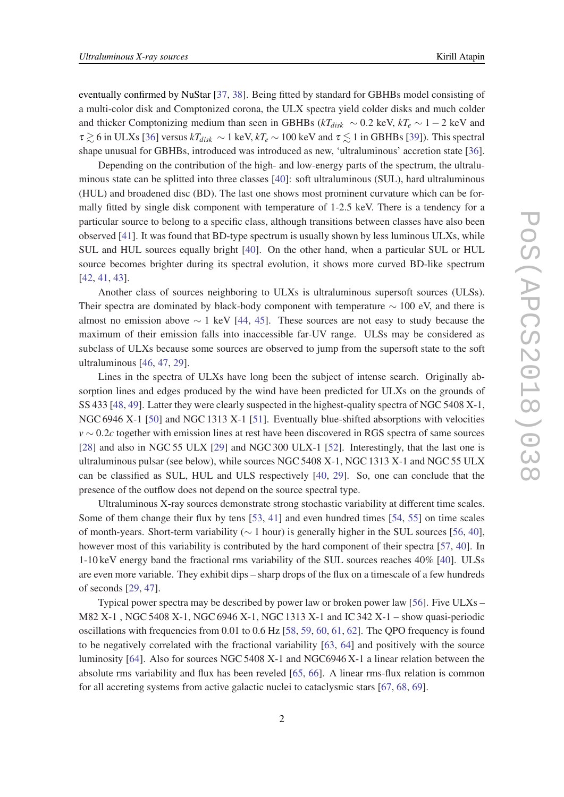eventually confirmed by NuStar [[37,](#page-7-0) [38](#page-7-0)]. Being fitted by standard for GBHBs model consisting of a multi-color disk and Comptonized corona, the ULX spectra yield colder disks and much colder and thicker Comptonizing medium than seen in GBHBs ( $kT_{disk} \sim 0.2$  keV,  $kT_e \sim 1 - 2$  keV and  $\tau \gtrsim 6$  in ULXs [\[36](#page-7-0)] versus  $kT_{disk} \sim 1$  keV,  $kT_e \sim 100$  keV and  $\tau \lesssim 1$  in GBHBs [\[39\]](#page-7-0)). This spectral shape unusual for GBHBs, introduced was introduced as new, 'ultraluminous' accretion state [[36\]](#page-7-0).

Depending on the contribution of the high- and low-energy parts of the spectrum, the ultraluminous state can be splitted into three classes [\[40](#page-7-0)]: soft ultraluminous (SUL), hard ultraluminous (HUL) and broadened disc (BD). The last one shows most prominent curvature which can be formally fitted by single disk component with temperature of 1-2.5 keV. There is a tendency for a particular source to belong to a specific class, although transitions between classes have also been observed [[41\]](#page-7-0). It was found that BD-type spectrum is usually shown by less luminous ULXs, while SUL and HUL sources equally bright [\[40\]](#page-7-0). On the other hand, when a particular SUL or HUL source becomes brighter during its spectral evolution, it shows more curved BD-like spectrum [[42,](#page-7-0) [41](#page-7-0), [43\]](#page-7-0).

Another class of sources neighboring to ULXs is ultraluminous supersoft sources (ULSs). Their spectra are dominated by black-body component with temperature  $\sim 100$  eV, and there is almost no emission above  $\sim 1$  keV [\[44](#page-7-0), [45\]](#page-7-0). These sources are not easy to study because the maximum of their emission falls into inaccessible far-UV range. ULSs may be considered as subclass of ULXs because some sources are observed to jump from the supersoft state to the soft ultraluminous [\[46](#page-7-0), [47,](#page-7-0) [29\]](#page-6-0).

Lines in the spectra of ULXs have long been the subject of intense search. Originally absorption lines and edges produced by the wind have been predicted for ULXs on the grounds of SS 433 [[48](#page-7-0), [49](#page-8-0)]. Latter they were clearly suspected in the highest-quality spectra of NGC 5408 X-1, NGC 6946 X-1 [[50\]](#page-8-0) and NGC 1313 X-1 [[51\]](#page-8-0). Eventually blue-shifted absorptions with velocities *v* ∼ 0.2*c* together with emission lines at rest have been discovered in RGS spectra of same sources [[28\]](#page-6-0) and also in NGC 55 ULX [[29\]](#page-6-0) and NGC 300 ULX-1 [\[52](#page-8-0)]. Interestingly, that the last one is ultraluminous pulsar (see below), while sources NGC 5408 X-1, NGC 1313 X-1 and NGC 55 ULX can be classified as SUL, HUL and ULS respectively [[40,](#page-7-0) [29\]](#page-6-0). So, one can conclude that the presence of the outflow does not depend on the source spectral type.

Ultraluminous X-ray sources demonstrate strong stochastic variability at different time scales. Some of them change their flux by tens [\[53](#page-8-0), [41](#page-7-0)] and even hundred times [[54,](#page-8-0) [55\]](#page-8-0) on time scales of month-years. Short-term variability (∼ 1 hour) is generally higher in the SUL sources [\[56](#page-8-0), [40\]](#page-7-0), however most of this variability is contributed by the hard component of their spectra [[57,](#page-8-0) [40](#page-7-0)]. In 1-10 keV energy band the fractional rms variability of the SUL sources reaches 40% [[40\]](#page-7-0). ULSs are even more variable. They exhibit dips – sharp drops of the flux on a timescale of a few hundreds of seconds [\[29,](#page-6-0) [47](#page-7-0)].

Typical power spectra may be described by power law or broken power law [\[56](#page-8-0)]. Five ULXs – M82 X-1 , NGC 5408 X-1, NGC 6946 X-1, NGC 1313 X-1 and IC 342 X-1 – show quasi-periodic oscillations with frequencies from 0.01 to 0.6 Hz [[58,](#page-8-0) [59,](#page-8-0) [60,](#page-8-0) [61](#page-8-0), [62](#page-8-0)]. The QPO frequency is found to be negatively correlated with the fractional variability [\[63](#page-8-0), [64\]](#page-8-0) and positively with the source luminosity [[64](#page-8-0)]. Also for sources NGC 5408 X-1 and NGC 6946 X-1 a linear relation between the absolute rms variability and flux has been reveled [\[65,](#page-8-0) [66\]](#page-9-0). A linear rms-flux relation is common for all accreting systems from active galactic nuclei to cataclysmic stars [\[67](#page-9-0), [68,](#page-9-0) [69](#page-9-0)].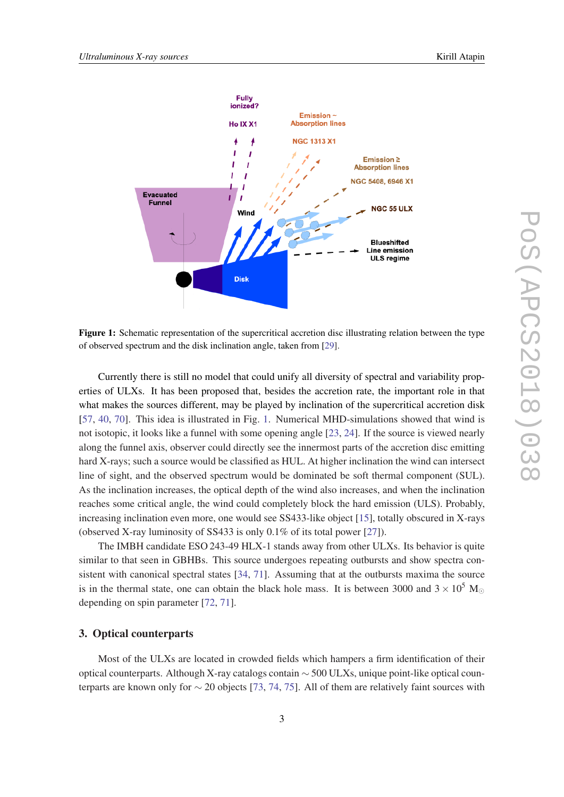

Figure 1: Schematic representation of the supercritical accretion disc illustrating relation between the type of observed spectrum and the disk inclination angle, taken from [[29\]](#page-6-0).

Currently there is still no model that could unify all diversity of spectral and variability properties of ULXs. It has been proposed that, besides the accretion rate, the important role in that what makes the sources different, may be played by inclination of the supercritical accretion disk [[57,](#page-8-0) [40,](#page-7-0) [70\]](#page-9-0). This idea is illustrated in Fig. 1. Numerical MHD-simulations showed that wind is not isotopic, it looks like a funnel with some opening angle [\[23,](#page-6-0) [24](#page-6-0)]. If the source is viewed nearly along the funnel axis, observer could directly see the innermost parts of the accretion disc emitting hard X-rays; such a source would be classified as HUL. At higher inclination the wind can intersect line of sight, and the observed spectrum would be dominated be soft thermal component (SUL). As the inclination increases, the optical depth of the wind also increases, and when the inclination reaches some critical angle, the wind could completely block the hard emission (ULS). Probably, increasing inclination even more, one would see SS433-like object [[15\]](#page-6-0), totally obscured in X-rays (observed X-ray luminosity of SS433 is only 0.1% of its total power [\[27](#page-6-0)]).

The IMBH candidate ESO 243-49 HLX-1 stands away from other ULXs. Its behavior is quite similar to that seen in GBHBs. This source undergoes repeating outbursts and show spectra consistent with canonical spectral states [[34,](#page-7-0) [71\]](#page-9-0). Assuming that at the outbursts maxima the source is in the thermal state, one can obtain the black hole mass. It is between 3000 and  $3 \times 10^5$  M depending on spin parameter [\[72,](#page-9-0) [71](#page-9-0)].

#### 3. Optical counterparts

Most of the ULXs are located in crowded fields which hampers a firm identification of their optical counterparts. Although X-ray catalogs contain ∼ 500 ULXs, unique point-like optical counterparts are known only for ∼ 20 objects [\[73](#page-9-0), [74,](#page-9-0) [75](#page-9-0)]. All of them are relatively faint sources with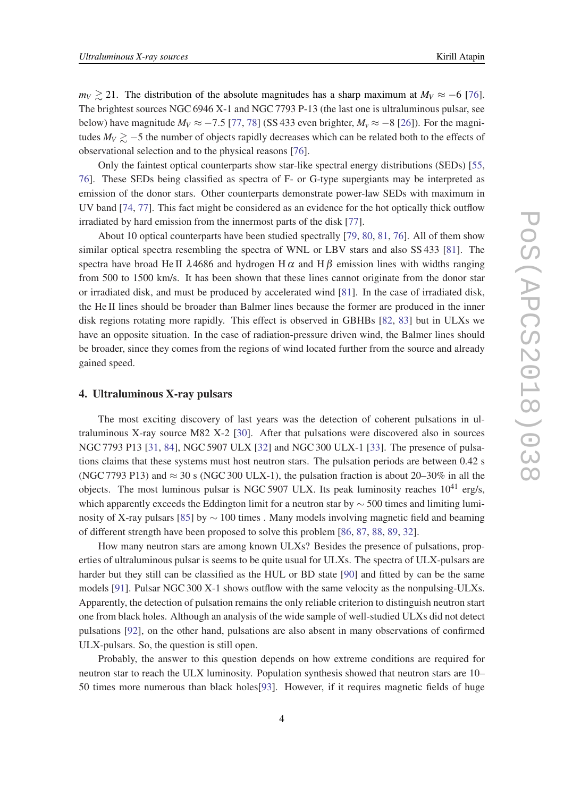*m*<sup> $V$ </sup>  $\gtrsim$  21. The distribution of the absolute magnitudes has a sharp maximum at *M*<sup>*V*</sup> ≈ −6 [[76\]](#page-9-0). The brightest sources NGC 6946 X-1 and NGC 7793 P-13 (the last one is ultraluminous pulsar, see below) have magnitude  $M_V \approx -7.5$  [\[77](#page-9-0), [78\]](#page-9-0) (SS 433 even brighter,  $M_v \approx -8$  [\[26](#page-6-0)]). For the magnitudes  $M_V \gtrsim -5$  the number of objects rapidly decreases which can be related both to the effects of observational selection and to the physical reasons [[76\]](#page-9-0).

Only the faintest optical counterparts show star-like spectral energy distributions (SEDs) [\[55](#page-8-0), [76](#page-9-0)]. These SEDs being classified as spectra of F- or G-type supergiants may be interpreted as emission of the donor stars. Other counterparts demonstrate power-law SEDs with maximum in UV band [\[74](#page-9-0), [77\]](#page-9-0). This fact might be considered as an evidence for the hot optically thick outflow irradiated by hard emission from the innermost parts of the disk [[77\]](#page-9-0).

About 10 optical counterparts have been studied spectrally [\[79,](#page-9-0) [80](#page-9-0), [81,](#page-9-0) [76](#page-9-0)]. All of them show similar optical spectra resembling the spectra of WNL or LBV stars and also SS 433 [\[81](#page-9-0)]. The spectra have broad He II  $\lambda$ 4686 and hydrogen H  $\alpha$  and H  $\beta$  emission lines with widths ranging from 500 to 1500 km/s. It has been shown that these lines cannot originate from the donor star or irradiated disk, and must be produced by accelerated wind [[81\]](#page-9-0). In the case of irradiated disk, the He II lines should be broader than Balmer lines because the former are produced in the inner disk regions rotating more rapidly. This effect is observed in GBHBs [[82](#page-9-0), [83\]](#page-10-0) but in ULXs we have an opposite situation. In the case of radiation-pressure driven wind, the Balmer lines should be broader, since they comes from the regions of wind located further from the source and already gained speed.

#### 4. Ultraluminous X-ray pulsars

The most exciting discovery of last years was the detection of coherent pulsations in ultraluminous X-ray source M82 X-2 [\[30\]](#page-6-0). After that pulsations were discovered also in sources NGC 7793 P13 [[31](#page-7-0), [84](#page-10-0)], NGC 5907 ULX [\[32](#page-7-0)] and NGC 300 ULX-1 [[33\]](#page-7-0). The presence of pulsations claims that these systems must host neutron stars. The pulsation periods are between 0.42 s (NGC 7793 P13) and  $\approx$  30 s (NGC 300 ULX-1), the pulsation fraction is about 20–30% in all the objects. The most luminous pulsar is NGC 5907 ULX. Its peak luminosity reaches  $10^{41}$  erg/s, which apparently exceeds the Eddington limit for a neutron star by ∼ 500 times and limiting lumi-nosity of X-ray pulsars [\[85](#page-10-0)] by  $\sim$  100 times . Many models involving magnetic field and beaming of different strength have been proposed to solve this problem [\[86,](#page-10-0) [87](#page-10-0), [88,](#page-10-0) [89](#page-10-0), [32](#page-7-0)].

How many neutron stars are among known ULXs? Besides the presence of pulsations, properties of ultraluminous pulsar is seems to be quite usual for ULXs. The spectra of ULX-pulsars are harder but they still can be classified as the HUL or BD state [\[90](#page-10-0)] and fitted by can be the same models [\[91](#page-10-0)]. Pulsar NGC 300 X-1 shows outflow with the same velocity as the nonpulsing-ULXs. Apparently, the detection of pulsation remains the only reliable criterion to distinguish neutron start one from black holes. Although an analysis of the wide sample of well-studied ULXs did not detect pulsations [[92\]](#page-10-0), on the other hand, pulsations are also absent in many observations of confirmed ULX-pulsars. So, the question is still open.

Probably, the answer to this question depends on how extreme conditions are required for neutron star to reach the ULX luminosity. Population synthesis showed that neutron stars are 10– 50 times more numerous than black holes[\[93](#page-10-0)]. However, if it requires magnetic fields of huge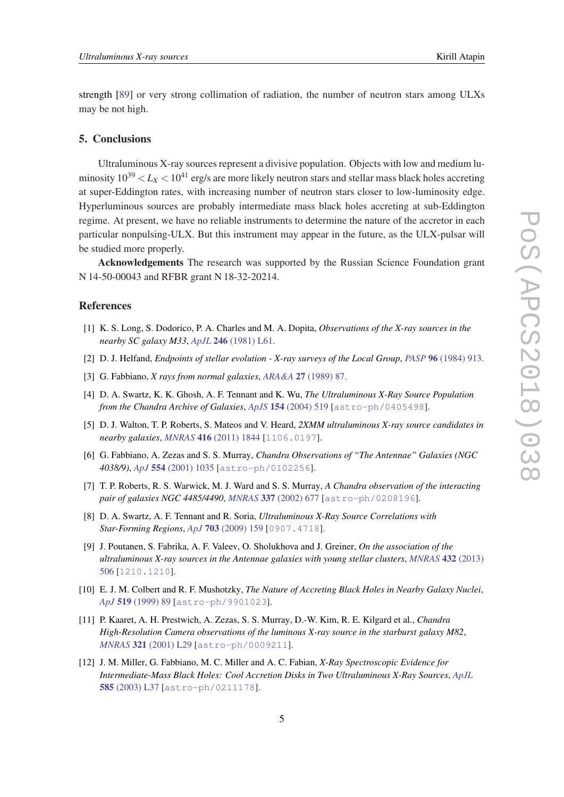<span id="page-5-0"></span>strength [[89\]](#page-10-0) or very strong collimation of radiation, the number of neutron stars among ULXs may be not high.

#### 5. Conclusions

Ultraluminous X-ray sources represent a divisive population. Objects with low and medium luminosity  $10^{39} < L_X < 10^{41}$  erg/s are more likely neutron stars and stellar mass black holes accreting at super-Eddington rates, with increasing number of neutron stars closer to low-luminosity edge. Hyperluminous sources are probably intermediate mass black holes accreting at sub-Eddington regime. At present, we have no reliable instruments to determine the nature of the accretor in each particular nonpulsing-ULX. But this instrument may appear in the future, as the ULX-pulsar will be studied more properly.

Acknowledgements The research was supported by the Russian Science Foundation grant N 14-50-00043 and RFBR grant N 18-32-20214.

#### References

- [1] K. S. Long, S. Dodorico, P. A. Charles and M. A. Dopita, *Observations of the X-ray sources in the nearby SC galaxy M33*, *ApJL* 246 [\(1981\) L61](https://doi.org/10.1086/183553).
- [2] D. J. Helfand, *Endpoints of stellar evolution X-ray surveys of the Local Group*, *PASP* 96 [\(1984\) 913.](https://doi.org/10.1086/131455)
- [3] G. Fabbiano, *X rays from normal galaxies*, *ARA&A* 27 [\(1989\) 87.](https://doi.org/10.1146/annurev.aa.27.090189.000511)
- [4] D. A. Swartz, K. K. Ghosh, A. F. Tennant and K. Wu, *The Ultraluminous X-Ray Source Population from the Chandra Archive of Galaxies*, *ApJS* 154 [\(2004\) 519](https://doi.org/10.1086/422842) [[astro-ph/0405498](https://arxiv.org/abs/astro-ph/0405498)].
- [5] D. J. Walton, T. P. Roberts, S. Mateos and V. Heard, *2XMM ultraluminous X-ray source candidates in nearby galaxies*, *MNRAS* 416 [\(2011\) 1844](https://doi.org/10.1111/j.1365-2966.2011.19154.x) [[1106.0197](https://arxiv.org/abs/1106.0197)].
- [6] G. Fabbiano, A. Zezas and S. S. Murray, *Chandra Observations of "The Antennae" Galaxies (NGC 4038/9)*, *ApJ* 554 [\(2001\) 1035](https://doi.org/10.1086/321397) [[astro-ph/0102256](https://arxiv.org/abs/astro-ph/0102256)].
- [7] T. P. Roberts, R. S. Warwick, M. J. Ward and S. S. Murray, *A Chandra observation of the interacting pair of galaxies NGC 4485/4490*, *MNRAS* 337 [\(2002\) 677](https://doi.org/10.1046/j.1365-8711.2002.05950.x) [[astro-ph/0208196](https://arxiv.org/abs/astro-ph/0208196)].
- [8] D. A. Swartz, A. F. Tennant and R. Soria, *Ultraluminous X-Ray Source Correlations with Star-Forming Regions*, *ApJ* 703 [\(2009\) 159](https://doi.org/10.1088/0004-637X/703/1/159) [[0907.4718](https://arxiv.org/abs/0907.4718)].
- [9] J. Poutanen, S. Fabrika, A. F. Valeev, O. Sholukhova and J. Greiner, *On the association of the ultraluminous X-ray sources in the Antennae galaxies with young stellar clusters*, *[MNRAS](https://doi.org/10.1093/mnras/stt487)* 432 (2013) [506](https://doi.org/10.1093/mnras/stt487) [[1210.1210](https://arxiv.org/abs/1210.1210)].
- [10] E. J. M. Colbert and R. F. Mushotzky, *The Nature of Accreting Black Holes in Nearby Galaxy Nuclei*, *ApJ* 519 [\(1999\) 89](https://doi.org/10.1086/307356) [[astro-ph/9901023](https://arxiv.org/abs/astro-ph/9901023)].
- [11] P. Kaaret, A. H. Prestwich, A. Zezas, S. S. Murray, D.-W. Kim, R. E. Kilgard et al., *Chandra High-Resolution Camera observations of the luminous X-ray source in the starburst galaxy M82*, *MNRAS* 321 [\(2001\) L29](https://doi.org/10.1046/j.1365-8711.2001.04064.x) [[astro-ph/0009211](https://arxiv.org/abs/astro-ph/0009211)].
- [12] J. M. Miller, G. Fabbiano, M. C. Miller and A. C. Fabian, *X-Ray Spectroscopic Evidence for Intermediate-Mass Black Holes: Cool Accretion Disks in Two Ultraluminous X-Ray Sources*, *[ApJL](https://doi.org/10.1086/368373)* 585 [\(2003\) L37](https://doi.org/10.1086/368373) [[astro-ph/0211178](https://arxiv.org/abs/astro-ph/0211178)].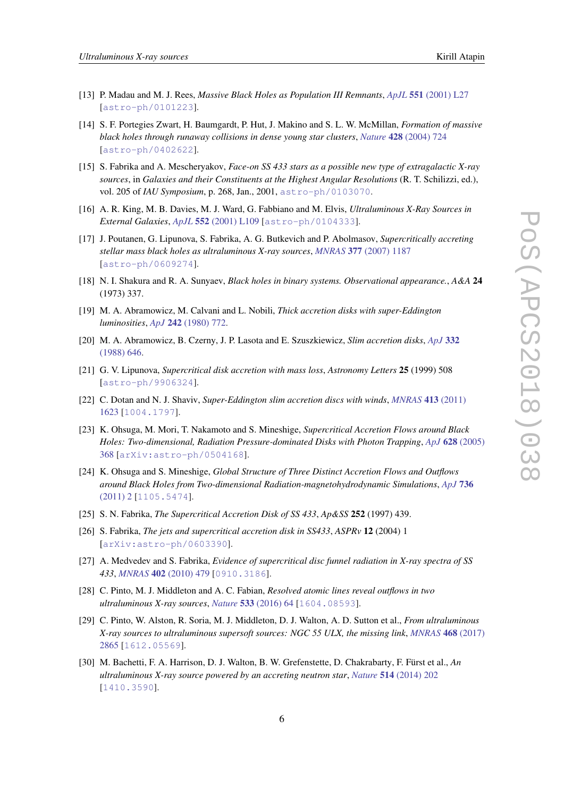- <span id="page-6-0"></span>[13] P. Madau and M. J. Rees, *Massive Black Holes as Population III Remnants*, *ApJL* 551 [\(2001\) L27](https://doi.org/10.1086/319848) [[astro-ph/0101223](https://arxiv.org/abs/astro-ph/0101223)].
- [14] S. F. Portegies Zwart, H. Baumgardt, P. Hut, J. Makino and S. L. W. McMillan, *Formation of massive black holes through runaway collisions in dense young star clusters*, *Nature* 428 [\(2004\) 724](https://doi.org/10.1038/nature02448) [[astro-ph/0402622](https://arxiv.org/abs/astro-ph/0402622)].
- [15] S. Fabrika and A. Mescheryakov, *Face-on SS 433 stars as a possible new type of extragalactic X-ray sources*, in *Galaxies and their Constituents at the Highest Angular Resolutions* (R. T. Schilizzi, ed.), vol. 205 of *IAU Symposium*, p. 268, Jan., 2001, [astro-ph/0103070](https://arxiv.org/abs/astro-ph/0103070).
- [16] A. R. King, M. B. Davies, M. J. Ward, G. Fabbiano and M. Elvis, *Ultraluminous X-Ray Sources in External Galaxies*, *ApJL* 552 [\(2001\) L109](https://doi.org/10.1086/320343) [[astro-ph/0104333](https://arxiv.org/abs/astro-ph/0104333)].
- [17] J. Poutanen, G. Lipunova, S. Fabrika, A. G. Butkevich and P. Abolmasov, *Supercritically accreting stellar mass black holes as ultraluminous X-ray sources*, *MNRAS* 377 [\(2007\) 1187](https://doi.org/10.1111/j.1365-2966.2007.11668.x) [[astro-ph/0609274](https://arxiv.org/abs/astro-ph/0609274)].
- [18] N. I. Shakura and R. A. Sunyaev, *Black holes in binary systems. Observational appearance.*, *A&A* 24 (1973) 337.
- [19] M. A. Abramowicz, M. Calvani and L. Nobili, *Thick accretion disks with super-Eddington luminosities*, *ApJ* 242 [\(1980\) 772](https://doi.org/10.1086/158512).
- [20] M. A. Abramowicz, B. Czerny, J. P. Lasota and E. Szuszkiewicz, *Slim accretion disks*, *[ApJ](https://doi.org/10.1086/166683)* 332 [\(1988\) 646](https://doi.org/10.1086/166683).
- [21] G. V. Lipunova, *Supercritical disk accretion with mass loss*, *Astronomy Letters* 25 (1999) 508 [[astro-ph/9906324](https://arxiv.org/abs/astro-ph/9906324)].
- [22] C. Dotan and N. J. Shaviv, *Super-Eddington slim accretion discs with winds*, *[MNRAS](https://doi.org/10.1111/j.1365-2966.2011.18235.x)* 413 (2011) [1623](https://doi.org/10.1111/j.1365-2966.2011.18235.x) [[1004.1797](https://arxiv.org/abs/1004.1797)].
- [23] K. Ohsuga, M. Mori, T. Nakamoto and S. Mineshige, *Supercritical Accretion Flows around Black Holes: Two-dimensional, Radiation Pressure-dominated Disks with Photon Trapping*, *ApJ* 628 [\(2005\)](https://doi.org/10.1086/430728) [368](https://doi.org/10.1086/430728) [[arXiv:astro-ph/0504168](https://arxiv.org/abs/arXiv:astro-ph/0504168)].
- [24] K. Ohsuga and S. Mineshige, *Global Structure of Three Distinct Accretion Flows and Outflows around Black Holes from Two-dimensional Radiation-magnetohydrodynamic Simulations*, *[ApJ](https://doi.org/10.1088/0004-637X/736/1/2)* 736 [\(2011\) 2](https://doi.org/10.1088/0004-637X/736/1/2) [[1105.5474](https://arxiv.org/abs/1105.5474)].
- [25] S. N. Fabrika, *The Supercritical Accretion Disk of SS 433*, *Ap&SS* 252 (1997) 439.
- [26] S. Fabrika, *The jets and supercritical accretion disk in SS433*, *ASPRv* 12 (2004) 1 [[arXiv:astro-ph/0603390](https://arxiv.org/abs/arXiv:astro-ph/0603390)].
- [27] A. Medvedev and S. Fabrika, *Evidence of supercritical disc funnel radiation in X-ray spectra of SS 433*, *MNRAS* 402 [\(2010\) 479](https://doi.org/10.1111/j.1365-2966.2009.15896.x) [[0910.3186](https://arxiv.org/abs/0910.3186)].
- [28] C. Pinto, M. J. Middleton and A. C. Fabian, *Resolved atomic lines reveal outflows in two ultraluminous X-ray sources*, *Nature* 533 [\(2016\) 64](https://doi.org/10.1038/nature17417) [[1604.08593](https://arxiv.org/abs/1604.08593)].
- [29] C. Pinto, W. Alston, R. Soria, M. J. Middleton, D. J. Walton, A. D. Sutton et al., *From ultraluminous X-ray sources to ultraluminous supersoft sources: NGC 55 ULX, the missing link*, *[MNRAS](https://doi.org/10.1093/mnras/stx641)* 468 (2017) [2865](https://doi.org/10.1093/mnras/stx641) [[1612.05569](https://arxiv.org/abs/1612.05569)].
- [30] M. Bachetti, F. A. Harrison, D. J. Walton, B. W. Grefenstette, D. Chakrabarty, F. Fürst et al., *An ultraluminous X-ray source powered by an accreting neutron star*, *Nature* 514 [\(2014\) 202](https://doi.org/10.1038/nature13791) [[1410.3590](https://arxiv.org/abs/1410.3590)].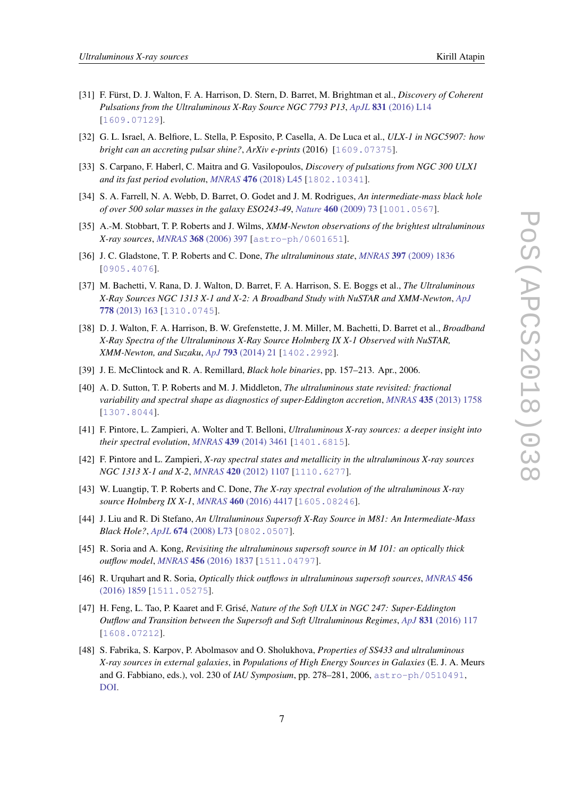- 
- <span id="page-7-0"></span>[31] F. Fürst, D. J. Walton, F. A. Harrison, D. Stern, D. Barret, M. Brightman et al., *Discovery of Coherent Pulsations from the Ultraluminous X-Ray Source NGC 7793 P13*, *ApJL* 831 [\(2016\) L14](https://doi.org/10.3847/2041-8205/831/2/L14) [[1609.07129](https://arxiv.org/abs/1609.07129)].
- [32] G. L. Israel, A. Belfiore, L. Stella, P. Esposito, P. Casella, A. De Luca et al., *ULX-1 in NGC5907: how bright can an accreting pulsar shine?*, *ArXiv e-prints* (2016) [[1609.07375](https://arxiv.org/abs/1609.07375)].
- [33] S. Carpano, F. Haberl, C. Maitra and G. Vasilopoulos, *Discovery of pulsations from NGC 300 ULX1 and its fast period evolution*, *MNRAS* 476 [\(2018\) L45](https://doi.org/10.1093/mnrasl/sly030) [[1802.10341](https://arxiv.org/abs/1802.10341)].
- [34] S. A. Farrell, N. A. Webb, D. Barret, O. Godet and J. M. Rodrigues, *An intermediate-mass black hole of over 500 solar masses in the galaxy ESO243-49*, *Nature* 460 [\(2009\) 73](https://doi.org/10.1038/nature08083) [[1001.0567](https://arxiv.org/abs/1001.0567)].
- [35] A.-M. Stobbart, T. P. Roberts and J. Wilms, *XMM-Newton observations of the brightest ultraluminous X-ray sources*, *MNRAS* 368 [\(2006\) 397](https://doi.org/10.1111/j.1365-2966.2006.10112.x) [[astro-ph/0601651](https://arxiv.org/abs/astro-ph/0601651)].
- [36] J. C. Gladstone, T. P. Roberts and C. Done, *The ultraluminous state*, *MNRAS* 397 [\(2009\) 1836](https://doi.org/10.1111/j.1365-2966.2009.15123.x) [[0905.4076](https://arxiv.org/abs/0905.4076)].
- [37] M. Bachetti, V. Rana, D. J. Walton, D. Barret, F. A. Harrison, S. E. Boggs et al., *The Ultraluminous X-Ray Sources NGC 1313 X-1 and X-2: A Broadband Study with NuSTAR and XMM-Newton*, *[ApJ](https://doi.org/10.1088/0004-637X/778/2/163)* 778 [\(2013\) 163](https://doi.org/10.1088/0004-637X/778/2/163) [[1310.0745](https://arxiv.org/abs/1310.0745)].
- [38] D. J. Walton, F. A. Harrison, B. W. Grefenstette, J. M. Miller, M. Bachetti, D. Barret et al., *Broadband X-Ray Spectra of the Ultraluminous X-Ray Source Holmberg IX X-1 Observed with NuSTAR, XMM-Newton, and Suzaku*, *ApJ* 793 [\(2014\) 21](https://doi.org/10.1088/0004-637X/793/1/21) [[1402.2992](https://arxiv.org/abs/1402.2992)].
- [39] J. E. McClintock and R. A. Remillard, *Black hole binaries*, pp. 157–213. Apr., 2006.
- [40] A. D. Sutton, T. P. Roberts and M. J. Middleton, *The ultraluminous state revisited: fractional variability and spectral shape as diagnostics of super-Eddington accretion*, *MNRAS* 435 [\(2013\) 1758](https://doi.org/10.1093/mnras/stt1419) [[1307.8044](https://arxiv.org/abs/1307.8044)].
- [41] F. Pintore, L. Zampieri, A. Wolter and T. Belloni, *Ultraluminous X-ray sources: a deeper insight into their spectral evolution*, *MNRAS* 439 [\(2014\) 3461](https://doi.org/10.1093/mnras/stu195) [[1401.6815](https://arxiv.org/abs/1401.6815)].
- [42] F. Pintore and L. Zampieri, *X-ray spectral states and metallicity in the ultraluminous X-ray sources NGC 1313 X-1 and X-2*, *MNRAS* 420 [\(2012\) 1107](https://doi.org/10.1111/j.1365-2966.2011.20072.x) [[1110.6277](https://arxiv.org/abs/1110.6277)].
- [43] W. Luangtip, T. P. Roberts and C. Done, *The X-ray spectral evolution of the ultraluminous X-ray source Holmberg IX X-1*, *MNRAS* 460 [\(2016\) 4417](https://doi.org/10.1093/mnras/stw1282) [[1605.08246](https://arxiv.org/abs/1605.08246)].
- [44] J. Liu and R. Di Stefano, *An Ultraluminous Supersoft X-Ray Source in M81: An Intermediate-Mass Black Hole?*, *ApJL* 674 [\(2008\) L73](https://doi.org/10.1086/529071) [[0802.0507](https://arxiv.org/abs/0802.0507)].
- [45] R. Soria and A. Kong, *Revisiting the ultraluminous supersoft source in M 101: an optically thick outflow model*, *MNRAS* 456 [\(2016\) 1837](https://doi.org/10.1093/mnras/stv2671) [[1511.04797](https://arxiv.org/abs/1511.04797)].
- [46] R. Urquhart and R. Soria, *Optically thick outflows in ultraluminous supersoft sources*, *[MNRAS](https://doi.org/10.1093/mnras/stv2293)* 456 [\(2016\) 1859](https://doi.org/10.1093/mnras/stv2293) [[1511.05275](https://arxiv.org/abs/1511.05275)].
- [47] H. Feng, L. Tao, P. Kaaret and F. Grisé, *Nature of the Soft ULX in NGC 247: Super-Eddington Outflow and Transition between the Supersoft and Soft Ultraluminous Regimes*, *ApJ* 831 [\(2016\) 117](https://doi.org/10.3847/0004-637X/831/2/117) [[1608.07212](https://arxiv.org/abs/1608.07212)].
- [48] S. Fabrika, S. Karpov, P. Abolmasov and O. Sholukhova, *Properties of SS433 and ultraluminous X-ray sources in external galaxies*, in *Populations of High Energy Sources in Galaxies* (E. J. A. Meurs and G. Fabbiano, eds.), vol. 230 of *IAU Symposium*, pp. 278–281, 2006, [astro-ph/0510491](https://arxiv.org/abs/astro-ph/0510491), [DOI](https://doi.org/10.1017/S1743921306008441).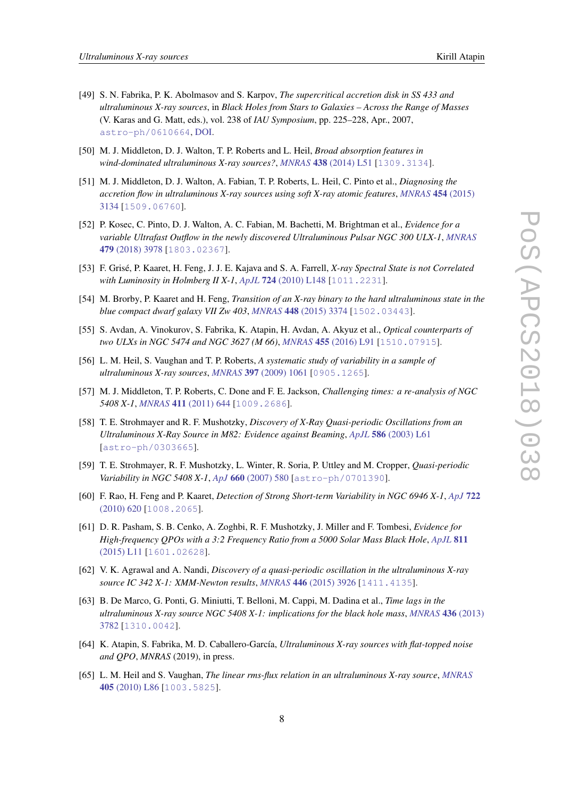- 
- <span id="page-8-0"></span>[49] S. N. Fabrika, P. K. Abolmasov and S. Karpov, *The supercritical accretion disk in SS 433 and ultraluminous X-ray sources*, in *Black Holes from Stars to Galaxies – Across the Range of Masses* (V. Karas and G. Matt, eds.), vol. 238 of *IAU Symposium*, pp. 225–228, Apr., 2007, [astro-ph/0610664](https://arxiv.org/abs/astro-ph/0610664), [DOI.](https://doi.org/10.1017/S1743921307005017)
- [50] M. J. Middleton, D. J. Walton, T. P. Roberts and L. Heil, *Broad absorption features in wind-dominated ultraluminous X-ray sources?*, *MNRAS* 438 [\(2014\) L51](https://doi.org/10.1093/mnrasl/slt157) [[1309.3134](https://arxiv.org/abs/1309.3134)].
- [51] M. J. Middleton, D. J. Walton, A. Fabian, T. P. Roberts, L. Heil, C. Pinto et al., *Diagnosing the accretion flow in ultraluminous X-ray sources using soft X-ray atomic features*, *[MNRAS](https://doi.org/10.1093/mnras/stv2214)* 454 (2015) [3134](https://doi.org/10.1093/mnras/stv2214) [[1509.06760](https://arxiv.org/abs/1509.06760)].
- [52] P. Kosec, C. Pinto, D. J. Walton, A. C. Fabian, M. Bachetti, M. Brightman et al., *Evidence for a variable Ultrafast Outflow in the newly discovered Ultraluminous Pulsar NGC 300 ULX-1*, *[MNRAS](https://doi.org/10.1093/mnras/sty1626)* 479 [\(2018\) 3978](https://doi.org/10.1093/mnras/sty1626) [[1803.02367](https://arxiv.org/abs/1803.02367)].
- [53] F. Grisé, P. Kaaret, H. Feng, J. J. E. Kajava and S. A. Farrell, *X-ray Spectral State is not Correlated with Luminosity in Holmberg II X-1*, *ApJL* 724 [\(2010\) L148](https://doi.org/10.1088/2041-8205/724/2/L148) [[1011.2231](https://arxiv.org/abs/1011.2231)].
- [54] M. Brorby, P. Kaaret and H. Feng, *Transition of an X-ray binary to the hard ultraluminous state in the blue compact dwarf galaxy VII Zw 403*, *MNRAS* 448 [\(2015\) 3374](https://doi.org/10.1093/mnras/stv227) [[1502.03443](https://arxiv.org/abs/1502.03443)].
- [55] S. Avdan, A. Vinokurov, S. Fabrika, K. Atapin, H. Avdan, A. Akyuz et al., *Optical counterparts of two ULXs in NGC 5474 and NGC 3627 (M 66)*, *MNRAS* 455 [\(2016\) L91](https://doi.org/10.1093/mnrasl/slv155) [[1510.07915](https://arxiv.org/abs/1510.07915)].
- [56] L. M. Heil, S. Vaughan and T. P. Roberts, *A systematic study of variability in a sample of ultraluminous X-ray sources*, *MNRAS* 397 [\(2009\) 1061](https://doi.org/10.1111/j.1365-2966.2009.15068.x) [[0905.1265](https://arxiv.org/abs/0905.1265)].
- [57] M. J. Middleton, T. P. Roberts, C. Done and F. E. Jackson, *Challenging times: a re-analysis of NGC 5408 X-1*, *MNRAS* 411 [\(2011\) 644](https://doi.org/10.1111/j.1365-2966.2010.17712.x) [[1009.2686](https://arxiv.org/abs/1009.2686)].
- [58] T. E. Strohmayer and R. F. Mushotzky, *Discovery of X-Ray Quasi-periodic Oscillations from an Ultraluminous X-Ray Source in M82: Evidence against Beaming*, *ApJL* 586 [\(2003\) L61](https://doi.org/10.1086/374732) [[astro-ph/0303665](https://arxiv.org/abs/astro-ph/0303665)].
- [59] T. E. Strohmayer, R. F. Mushotzky, L. Winter, R. Soria, P. Uttley and M. Cropper, *Quasi-periodic Variability in NGC 5408 X-1*, *ApJ* 660 [\(2007\) 580](https://doi.org/10.1086/512723) [[astro-ph/0701390](https://arxiv.org/abs/astro-ph/0701390)].
- [60] F. Rao, H. Feng and P. Kaaret, *Detection of Strong Short-term Variability in NGC 6946 X-1*, *[ApJ](https://doi.org/10.1088/0004-637X/722/1/620)* 722 [\(2010\) 620](https://doi.org/10.1088/0004-637X/722/1/620) [[1008.2065](https://arxiv.org/abs/1008.2065)].
- [61] D. R. Pasham, S. B. Cenko, A. Zoghbi, R. F. Mushotzky, J. Miller and F. Tombesi, *Evidence for High-frequency QPOs with a 3:2 Frequency Ratio from a 5000 Solar Mass Black Hole*, *[ApJL](https://doi.org/10.1088/2041-8205/811/1/L11)* 811 [\(2015\) L11](https://doi.org/10.1088/2041-8205/811/1/L11) [[1601.02628](https://arxiv.org/abs/1601.02628)].
- [62] V. K. Agrawal and A. Nandi, *Discovery of a quasi-periodic oscillation in the ultraluminous X-ray source IC 342 X-1: XMM-Newton results*, *MNRAS* 446 [\(2015\) 3926](https://doi.org/10.1093/mnras/stu2291) [[1411.4135](https://arxiv.org/abs/1411.4135)].
- [63] B. De Marco, G. Ponti, G. Miniutti, T. Belloni, M. Cappi, M. Dadina et al., *Time lags in the ultraluminous X-ray source NGC 5408 X-1: implications for the black hole mass*, *[MNRAS](https://doi.org/10.1093/mnras/stt1853)* 436 (2013) [3782](https://doi.org/10.1093/mnras/stt1853) [[1310.0042](https://arxiv.org/abs/1310.0042)].
- [64] K. Atapin, S. Fabrika, M. D. Caballero-García, *Ultraluminous X-ray sources with flat-topped noise and QPO*, *MNRAS* (2019), in press.
- [65] L. M. Heil and S. Vaughan, *The linear rms-flux relation in an ultraluminous X-ray source*, *[MNRAS](https://doi.org/10.1111/j.1745-3933.2010.00864.x)* 405 [\(2010\) L86](https://doi.org/10.1111/j.1745-3933.2010.00864.x) [[1003.5825](https://arxiv.org/abs/1003.5825)].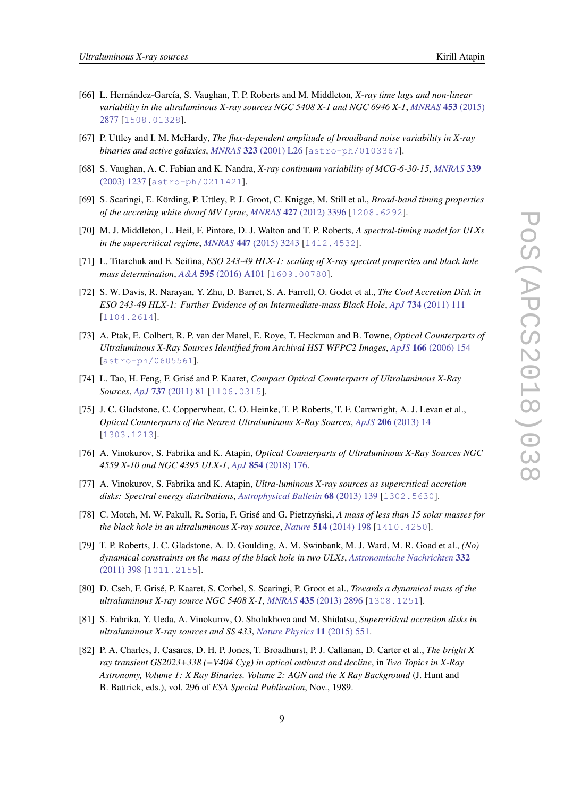- <span id="page-9-0"></span>[66] L. Hernández-García, S. Vaughan, T. P. Roberts and M. Middleton, *X-ray time lags and non-linear variability in the ultraluminous X-ray sources NGC 5408 X-1 and NGC 6946 X-1*, *[MNRAS](https://doi.org/10.1093/mnras/stv1830)* 453 (2015) [2877](https://doi.org/10.1093/mnras/stv1830) [[1508.01328](https://arxiv.org/abs/1508.01328)].
- [67] P. Uttley and I. M. McHardy, *The flux-dependent amplitude of broadband noise variability in X-ray binaries and active galaxies*, *MNRAS* 323 [\(2001\) L26](https://doi.org/10.1046/j.1365-8711.2001.04496.x) [[astro-ph/0103367](https://arxiv.org/abs/astro-ph/0103367)].
- [68] S. Vaughan, A. C. Fabian and K. Nandra, *X-ray continuum variability of MCG-6-30-15*, *[MNRAS](https://doi.org/10.1046/j.1365-8711.2003.06285.x)* 339 [\(2003\) 1237](https://doi.org/10.1046/j.1365-8711.2003.06285.x) [[astro-ph/0211421](https://arxiv.org/abs/astro-ph/0211421)].
- [69] S. Scaringi, E. Körding, P. Uttley, P. J. Groot, C. Knigge, M. Still et al., *Broad-band timing properties of the accreting white dwarf MV Lyrae*, *MNRAS* 427 [\(2012\) 3396](https://doi.org/10.1111/j.1365-2966.2012.22022.x) [[1208.6292](https://arxiv.org/abs/1208.6292)].
- [70] M. J. Middleton, L. Heil, F. Pintore, D. J. Walton and T. P. Roberts, *A spectral-timing model for ULXs in the supercritical regime*, *MNRAS* 447 [\(2015\) 3243](https://doi.org/10.1093/mnras/stu2644) [[1412.4532](https://arxiv.org/abs/1412.4532)].
- [71] L. Titarchuk and E. Seifina, *ESO 243-49 HLX-1: scaling of X-ray spectral properties and black hole mass determination*, *A&A* 595 [\(2016\) A101](https://doi.org/10.1051/0004-6361/201527840) [[1609.00780](https://arxiv.org/abs/1609.00780)].
- [72] S. W. Davis, R. Narayan, Y. Zhu, D. Barret, S. A. Farrell, O. Godet et al., *The Cool Accretion Disk in ESO 243-49 HLX-1: Further Evidence of an Intermediate-mass Black Hole*, *ApJ* 734 [\(2011\) 111](https://doi.org/10.1088/0004-637X/734/2/111) [[1104.2614](https://arxiv.org/abs/1104.2614)].
- [73] A. Ptak, E. Colbert, R. P. van der Marel, E. Roye, T. Heckman and B. Towne, *Optical Counterparts of Ultraluminous X-Ray Sources Identified from Archival HST WFPC2 Images*, *ApJS* 166 [\(2006\) 154](https://doi.org/10.1086/505218) [[astro-ph/0605561](https://arxiv.org/abs/astro-ph/0605561)].
- [74] L. Tao, H. Feng, F. Grisé and P. Kaaret, *Compact Optical Counterparts of Ultraluminous X-Ray Sources*, *ApJ* 737 [\(2011\) 81](https://doi.org/10.1088/0004-637X/737/2/81) [[1106.0315](https://arxiv.org/abs/1106.0315)].
- [75] J. C. Gladstone, C. Copperwheat, C. O. Heinke, T. P. Roberts, T. F. Cartwright, A. J. Levan et al., *Optical Counterparts of the Nearest Ultraluminous X-Ray Sources*, *ApJS* 206 [\(2013\) 14](https://doi.org/10.1088/0067-0049/206/2/14) [[1303.1213](https://arxiv.org/abs/1303.1213)].
- [76] A. Vinokurov, S. Fabrika and K. Atapin, *Optical Counterparts of Ultraluminous X-Ray Sources NGC 4559 X-10 and NGC 4395 ULX-1*, *ApJ* 854 [\(2018\) 176](https://doi.org/10.3847/1538-4357/aaaa6c).
- [77] A. Vinokurov, S. Fabrika and K. Atapin, *Ultra-luminous X-ray sources as supercritical accretion disks: Spectral energy distributions*, *[Astrophysical Bulletin](https://doi.org/10.1134/S1990341313020028)* 68 (2013) 139 [[1302.5630](https://arxiv.org/abs/1302.5630)].
- [78] C. Motch, M. W. Pakull, R. Soria, F. Grisé and G. Pietrzyński, *A mass of less than 15 solar masses for the black hole in an ultraluminous X-ray source*, *Nature* 514 [\(2014\) 198](https://doi.org/10.1038/nature13730) [[1410.4250](https://arxiv.org/abs/1410.4250)].
- [79] T. P. Roberts, J. C. Gladstone, A. D. Goulding, A. M. Swinbank, M. J. Ward, M. R. Goad et al., *(No) dynamical constraints on the mass of the black hole in two ULXs*, *[Astronomische Nachrichten](https://doi.org/10.1002/asna.201011508)* 332 [\(2011\) 398](https://doi.org/10.1002/asna.201011508) [[1011.2155](https://arxiv.org/abs/1011.2155)].
- [80] D. Cseh, F. Grisé, P. Kaaret, S. Corbel, S. Scaringi, P. Groot et al., *Towards a dynamical mass of the ultraluminous X-ray source NGC 5408 X-1*, *MNRAS* 435 [\(2013\) 2896](https://doi.org/10.1093/mnras/stt1484) [[1308.1251](https://arxiv.org/abs/1308.1251)].
- [81] S. Fabrika, Y. Ueda, A. Vinokurov, O. Sholukhova and M. Shidatsu, *Supercritical accretion disks in ultraluminous X-ray sources and SS 433*, *[Nature Physics](https://doi.org/10.1038/nphys3348)* 11 (2015) 551.
- [82] P. A. Charles, J. Casares, D. H. P. Jones, T. Broadhurst, P. J. Callanan, D. Carter et al., *The bright X ray transient GS2023+338 (=V404 Cyg) in optical outburst and decline*, in *Two Topics in X-Ray Astronomy, Volume 1: X Ray Binaries. Volume 2: AGN and the X Ray Background* (J. Hunt and B. Battrick, eds.), vol. 296 of *ESA Special Publication*, Nov., 1989.